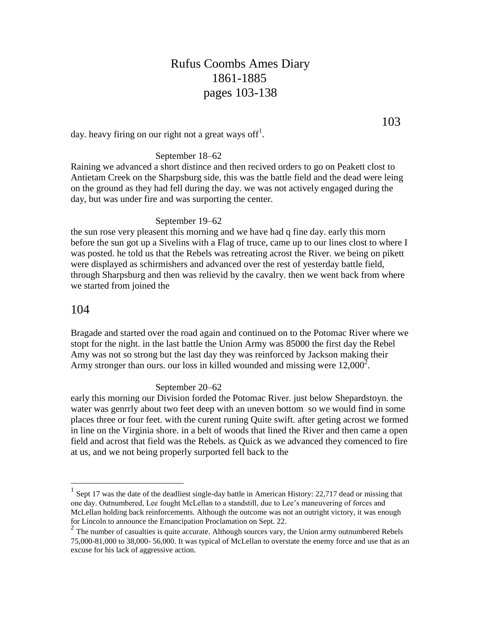# Rufus Coombs Ames Diary 1861-1885 pages 103-138

day. heavy firing on our right not a great ways off<sup>1</sup>.

### September 18–62

Raining we advanced a short distince and then recived orders to go on Peakett clost to Antietam Creek on the Sharpsburg side, this was the battle field and the dead were leing on the ground as they had fell during the day. we was not actively engaged during the day, but was under fire and was surporting the center.

#### September 19–62

the sun rose very pleasent this morning and we have had q fine day. early this morn before the sun got up a Sivelins with a Flag of truce, came up to our lines clost to where I was posted. he told us that the Rebels was retreating acrost the River. we being on pikett were displayed as schirmishers and advanced over the rest of yesterday battle field, through Sharpsburg and then was relievid by the cavalry. then we went back from where we started from joined the

### 104

 $\overline{a}$ 

Bragade and started over the road again and continued on to the Potomac River where we stopt for the night. in the last battle the Union Army was 85000 the first day the Rebel Amy was not so strong but the last day they was reinforced by Jackson making their Army stronger than ours. our loss in killed wounded and missing were  $12,000^2$ .

#### September 20–62

early this morning our Division forded the Potomac River. just below Shepardstoyn. the water was genrrly about two feet deep with an uneven bottom so we would find in some places three or four feet. with the curent runing Quite swift. after geting acrost we formed in line on the Virginia shore. in a belt of woods that lined the River and then came a open field and acrost that field was the Rebels. as Quick as we advanced they comenced to fire at us, and we not being properly surported fell back to the

103

<sup>1</sup> Sept 17 was the date of the deadliest single-day battle in American History: 22,717 dead or missing that one day. Outnumbered, Lee fought McLellan to a standstill, due to Lee's maneuvering of forces and McLellan holding back reinforcements. Although the outcome was not an outright victory, it was enough for Lincoln to announce the Emancipation Proclamation on Sept. 22.

 $2<sup>2</sup>$  The number of casualties is quite accurate. Although sources vary, the Union army outnumbered Rebels 75,000-81,000 to 38,000- 56,000. It was typical of McLellan to overstate the enemy force and use that as an excuse for his lack of aggressive action.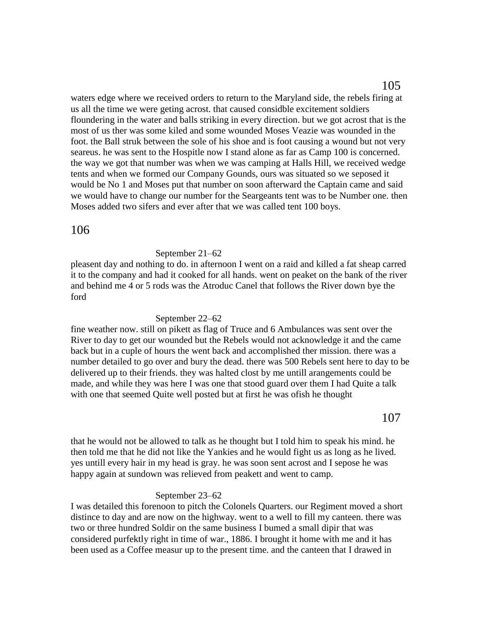waters edge where we received orders to return to the Maryland side, the rebels firing at us all the time we were geting acrost. that caused considble excitement soldiers floundering in the water and balls striking in every direction. but we got acrost that is the most of us ther was some kiled and some wounded Moses Veazie was wounded in the foot. the Ball struk between the sole of his shoe and is foot causing a wound but not very seareus. he was sent to the Hospitle now I stand alone as far as Camp 100 is concerned. the way we got that number was when we was camping at Halls Hill, we received wedge tents and when we formed our Company Gounds, ours was situated so we seposed it would be No 1 and Moses put that number on soon afterward the Captain came and said we would have to change our number for the Seargeants tent was to be Number one. then Moses added two sifers and ever after that we was called tent 100 boys.

# 106

### September 21–62

pleasent day and nothing to do. in afternoon I went on a raid and killed a fat sheap carred it to the company and had it cooked for all hands. went on peaket on the bank of the river and behind me 4 or 5 rods was the Atroduc Canel that follows the River down bye the ford

#### September 22–62

fine weather now. still on pikett as flag of Truce and 6 Ambulances was sent over the River to day to get our wounded but the Rebels would not acknowledge it and the came back but in a cuple of hours the went back and accomplished ther mission. there was a number detailed to go over and bury the dead. there was 500 Rebels sent here to day to be delivered up to their friends. they was halted clost by me untill arangements could be made, and while they was here I was one that stood guard over them I had Quite a talk with one that seemed Quite well posted but at first he was ofish he thought

that he would not be allowed to talk as he thought but I told him to speak his mind. he then told me that he did not like the Yankies and he would fight us as long as he lived. yes untill every hair in my head is gray. he was soon sent acrost and I sepose he was happy again at sundown was relieved from peakett and went to camp.

#### September 23–62

I was detailed this forenoon to pitch the Colonels Quarters. our Regiment moved a short distince to day and are now on the highway. went to a well to fill my canteen. there was two or three hundred Soldir on the same business I bumed a small dipir that was considered purfektly right in time of war., 1886. I brought it home with me and it has been used as a Coffee measur up to the present time. and the canteen that I drawed in

107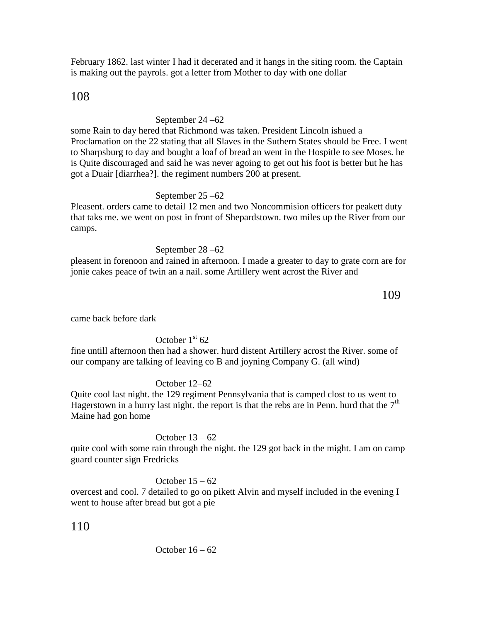February 1862. last winter I had it decerated and it hangs in the siting room. the Captain is making out the payrols. got a letter from Mother to day with one dollar

# 108

# September 24 –62

some Rain to day hered that Richmond was taken. President Lincoln ishued a Proclamation on the 22 stating that all Slaves in the Suthern States should be Free. I went to Sharpsburg to day and bought a loaf of bread an went in the Hospitle to see Moses. he is Quite discouraged and said he was never agoing to get out his foot is better but he has got a Duair [diarrhea?]. the regiment numbers 200 at present.

## September 25 –62

Pleasent. orders came to detail 12 men and two Noncommision officers for peakett duty that taks me. we went on post in front of Shepardstown. two miles up the River from our camps.

## September 28 –62

pleasent in forenoon and rained in afternoon. I made a greater to day to grate corn are for jonie cakes peace of twin an a nail. some Artillery went acrost the River and

109

came back before dark

# October  $1<sup>st</sup> 62$

fine untill afternoon then had a shower. hurd distent Artillery acrost the River. some of our company are talking of leaving co B and joyning Company G. (all wind)

## October 12–62

Quite cool last night. the 129 regiment Pennsylvania that is camped clost to us went to Hagerstown in a hurry last night. the report is that the rebs are in Penn. hurd that the  $7<sup>th</sup>$ Maine had gon home

## October 13 – 62

quite cool with some rain through the night. the 129 got back in the might. I am on camp guard counter sign Fredricks

## October  $15 - 62$

overcest and cool. 7 detailed to go on pikett Alvin and myself included in the evening I went to house after bread but got a pie

110

October 16 – 62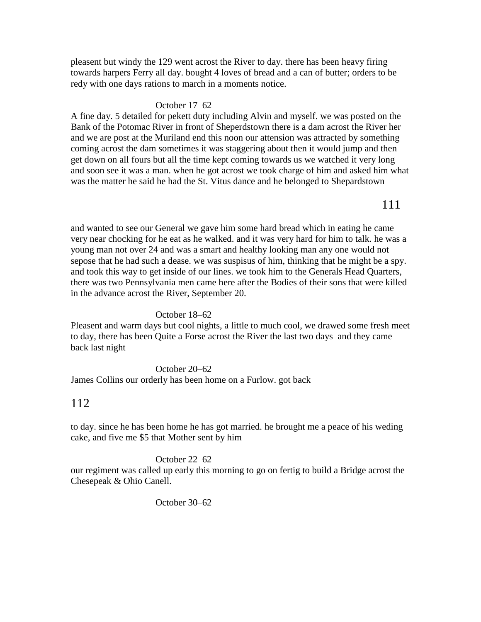pleasent but windy the 129 went acrost the River to day. there has been heavy firing towards harpers Ferry all day. bought 4 loves of bread and a can of butter; orders to be redy with one days rations to march in a moments notice.

### October 17–62

A fine day. 5 detailed for pekett duty including Alvin and myself. we was posted on the Bank of the Potomac River in front of Sheperdstown there is a dam acrost the River her and we are post at the Muriland end this noon our attension was attracted by something coming acrost the dam sometimes it was staggering about then it would jump and then get down on all fours but all the time kept coming towards us we watched it very long and soon see it was a man. when he got acrost we took charge of him and asked him what was the matter he said he had the St. Vitus dance and he belonged to Shepardstown

and wanted to see our General we gave him some hard bread which in eating he came very near chocking for he eat as he walked. and it was very hard for him to talk. he was a young man not over 24 and was a smart and healthy looking man any one would not sepose that he had such a dease. we was suspisus of him, thinking that he might be a spy. and took this way to get inside of our lines. we took him to the Generals Head Quarters, there was two Pennsylvania men came here after the Bodies of their sons that were killed in the advance acrost the River, September 20.

### October 18–62

Pleasent and warm days but cool nights, a little to much cool, we drawed some fresh meet to day, there has been Quite a Forse acrost the River the last two days and they came back last night

October 20–62 James Collins our orderly has been home on a Furlow. got back

# 112

to day. since he has been home he has got married. he brought me a peace of his weding cake, and five me \$5 that Mother sent by him

October 22–62

our regiment was called up early this morning to go on fertig to build a Bridge acrost the Chesepeak & Ohio Canell.

October 30–62

111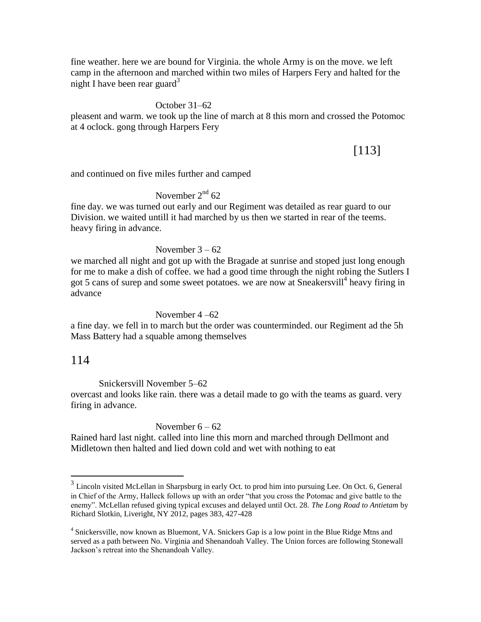fine weather. here we are bound for Virginia. the whole Army is on the move. we left camp in the afternoon and marched within two miles of Harpers Fery and halted for the night I have been rear guard<sup>3</sup>

#### October 31–62

pleasent and warm. we took up the line of march at 8 this morn and crossed the Potomoc at 4 oclock. gong through Harpers Fery

# [113]

and continued on five miles further and camped

## November  $2<sup>nd</sup> 62$

fine day. we was turned out early and our Regiment was detailed as rear guard to our Division. we waited untill it had marched by us then we started in rear of the teems. heavy firing in advance.

#### November  $3 - 62$

we marched all night and got up with the Bragade at sunrise and stoped just long enough for me to make a dish of coffee. we had a good time through the night robing the Sutlers I got 5 cans of surep and some sweet potatoes. we are now at Sneakersvill<sup>4</sup> heavy firing in advance

#### November 4 –62

a fine day. we fell in to march but the order was counterminded. our Regiment ad the 5h Mass Battery had a squable among themselves

# 114

Snickersvill November 5–62

overcast and looks like rain. there was a detail made to go with the teams as guard. very firing in advance.

#### November  $6 - 62$

Rained hard last night. called into line this morn and marched through Dellmont and Midletown then halted and lied down cold and wet with nothing to eat

<sup>&</sup>lt;sup>3</sup><br><sup>3</sup> Lincoln visited McLellan in Sharpsburg in early Oct. to prod him into pursuing Lee. On Oct. 6, General in Chief of the Army, Halleck follows up with an order "that you cross the Potomac and give battle to the enemy". McLellan refused giving typical excuses and delayed until Oct. 28. *The Long Road to Antietam* by Richard Slotkin, Liveright, NY 2012, pages 383, 427-428

<sup>&</sup>lt;sup>4</sup> Snickersville, now known as Bluemont, VA. Snickers Gap is a low point in the Blue Ridge Mtns and served as a path between No. Virginia and Shenandoah Valley. The Union forces are following Stonewall Jackson's retreat into the Shenandoah Valley.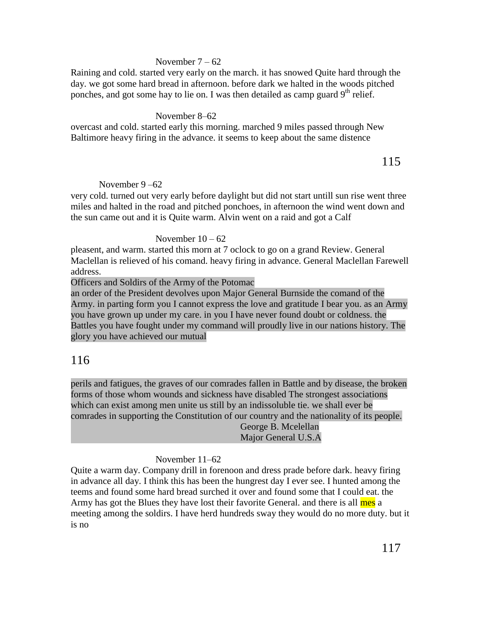### November  $7 - 62$

Raining and cold. started very early on the march. it has snowed Quite hard through the day. we got some hard bread in afternoon. before dark we halted in the woods pitched ponches, and got some hay to lie on. I was then detailed as camp guard  $9<sup>th</sup>$  relief.

### November 8–62

overcast and cold. started early this morning. marched 9 miles passed through New Baltimore heavy firing in the advance. it seems to keep about the same distence

115

### November 9 –62

very cold. turned out very early before daylight but did not start untill sun rise went three miles and halted in the road and pitched ponchoes, in afternoon the wind went down and the sun came out and it is Quite warm. Alvin went on a raid and got a Calf

### November  $10 - 62$

pleasent, and warm. started this morn at 7 oclock to go on a grand Review. General Maclellan is relieved of his comand. heavy firing in advance. General Maclellan Farewell address.

Officers and Soldirs of the Army of the Potomac

an order of the President devolves upon Major General Burnside the comand of the Army. in parting form you I cannot express the love and gratitude I bear you. as an Army you have grown up under my care. in you I have never found doubt or coldness. the Battles you have fought under my command will proudly live in our nations history. The glory you have achieved our mutual

# 116

perils and fatigues, the graves of our comrades fallen in Battle and by disease, the broken forms of those whom wounds and sickness have disabled The strongest associations which can exist among men unite us still by an indissoluble tie. we shall ever be comrades in supporting the Constitution of our country and the nationality of its people.

George B. Mcelellan Major General U.S.A

## November 11–62

Quite a warm day. Company drill in forenoon and dress prade before dark. heavy firing in advance all day. I think this has been the hungrest day I ever see. I hunted among the teems and found some hard bread surched it over and found some that I could eat. the Army has got the Blues they have lost their favorite General. and there is all mes a meeting among the soldirs. I have herd hundreds sway they would do no more duty. but it is no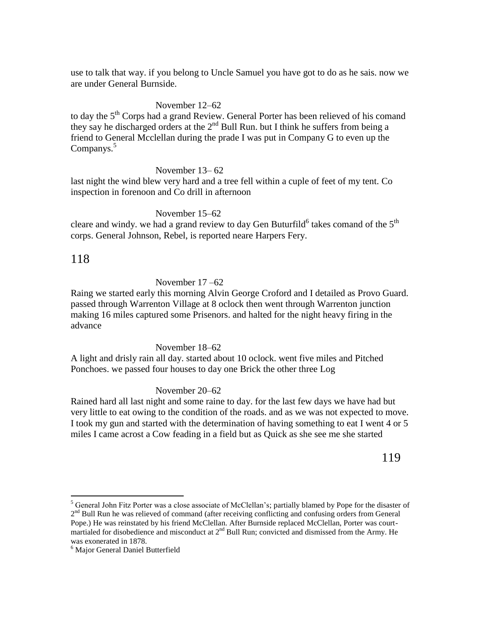use to talk that way. if you belong to Uncle Samuel you have got to do as he sais. now we are under General Burnside.

### November 12–62

to day the 5<sup>th</sup> Corps had a grand Review. General Porter has been relieved of his comand they say he discharged orders at the  $2^{nd}$  Bull Run. but I think he suffers from being a friend to General Mcclellan during the prade I was put in Company G to even up the Companys.<sup>5</sup>

#### November 13– 62

last night the wind blew very hard and a tree fell within a cuple of feet of my tent. Co inspection in forenoon and Co drill in afternoon

#### November 15–62

cleare and windy. we had a grand review to day Gen Buturfild<sup>6</sup> takes comand of the  $5^{\text{th}}$ corps. General Johnson, Rebel, is reported neare Harpers Fery.

# 118

 $\overline{a}$ 

#### November 17 –62

Raing we started early this morning Alvin George Croford and I detailed as Provo Guard. passed through Warrenton Village at 8 oclock then went through Warrenton junction making 16 miles captured some Prisenors. and halted for the night heavy firing in the advance

#### November 18–62

A light and drisly rain all day. started about 10 oclock. went five miles and Pitched Ponchoes. we passed four houses to day one Brick the other three Log

#### November 20–62

Rained hard all last night and some raine to day. for the last few days we have had but very little to eat owing to the condition of the roads. and as we was not expected to move. I took my gun and started with the determination of having something to eat I went 4 or 5 miles I came acrost a Cow feading in a field but as Quick as she see me she started

## 119

<sup>5</sup> General John Fitz Porter was a close associate of McClellan's; partially blamed by Pope for the disaster of 2<sup>nd</sup> Bull Run he was relieved of command (after receiving conflicting and confusing orders from General Pope.) He was reinstated by his friend McClellan. After Burnside replaced McClellan, Porter was courtmartialed for disobedience and misconduct at  $2<sup>nd</sup>$  Bull Run; convicted and dismissed from the Army. He was exonerated in 1878.

<sup>6</sup> Major General Daniel Butterfield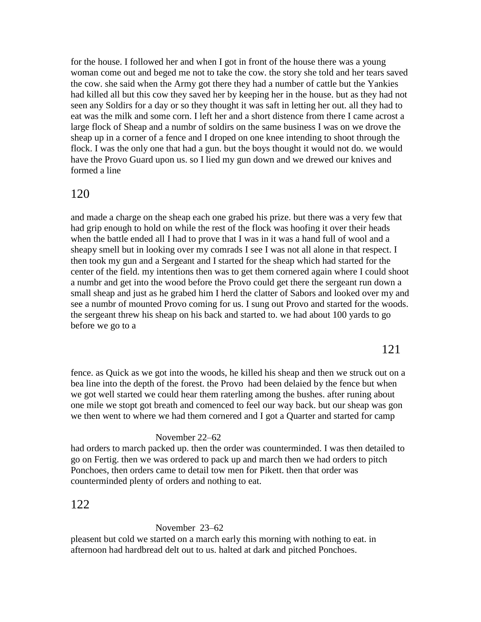for the house. I followed her and when I got in front of the house there was a young woman come out and beged me not to take the cow. the story she told and her tears saved the cow. she said when the Army got there they had a number of cattle but the Yankies had killed all but this cow they saved her by keeping her in the house. but as they had not seen any Soldirs for a day or so they thought it was saft in letting her out. all they had to eat was the milk and some corn. I left her and a short distence from there I came acrost a large flock of Sheap and a numbr of soldirs on the same business I was on we drove the sheap up in a corner of a fence and I droped on one knee intending to shoot through the flock. I was the only one that had a gun. but the boys thought it would not do. we would have the Provo Guard upon us. so I lied my gun down and we drewed our knives and formed a line

### 120

and made a charge on the sheap each one grabed his prize. but there was a very few that had grip enough to hold on while the rest of the flock was hoofing it over their heads when the battle ended all I had to prove that I was in it was a hand full of wool and a sheapy smell but in looking over my comrads I see I was not all alone in that respect. I then took my gun and a Sergeant and I started for the sheap which had started for the center of the field. my intentions then was to get them cornered again where I could shoot a numbr and get into the wood before the Provo could get there the sergeant run down a small sheap and just as he grabed him I herd the clatter of Sabors and looked over my and see a numbr of mounted Provo coming for us. I sung out Provo and started for the woods. the sergeant threw his sheap on his back and started to. we had about 100 yards to go before we go to a

121

fence. as Quick as we got into the woods, he killed his sheap and then we struck out on a bea line into the depth of the forest. the Provo had been delaied by the fence but when we got well started we could hear them raterling among the bushes. after runing about one mile we stopt got breath and comenced to feel our way back. but our sheap was gon we then went to where we had them cornered and I got a Quarter and started for camp

#### November 22–62

had orders to march packed up. then the order was counterminded. I was then detailed to go on Fertig. then we was ordered to pack up and march then we had orders to pitch Ponchoes, then orders came to detail tow men for Pikett. then that order was counterminded plenty of orders and nothing to eat.

# 122

### November 23–62

pleasent but cold we started on a march early this morning with nothing to eat. in afternoon had hardbread delt out to us. halted at dark and pitched Ponchoes.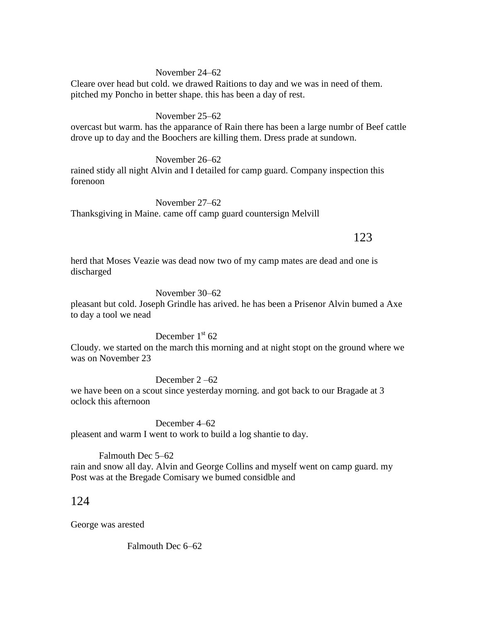### November 24–62

Cleare over head but cold. we drawed Raitions to day and we was in need of them. pitched my Poncho in better shape. this has been a day of rest.

November 25–62

overcast but warm. has the apparance of Rain there has been a large numbr of Beef cattle drove up to day and the Boochers are killing them. Dress prade at sundown.

November 26–62

rained stidy all night Alvin and I detailed for camp guard. Company inspection this forenoon

November 27–62 Thanksgiving in Maine. came off camp guard countersign Melvill

# 123

herd that Moses Veazie was dead now two of my camp mates are dead and one is discharged

November 30–62

pleasant but cold. Joseph Grindle has arived. he has been a Prisenor Alvin bumed a Axe to day a tool we nead

December  $1<sup>st</sup> 62$ 

Cloudy. we started on the march this morning and at night stopt on the ground where we was on November 23

December 2 –62

we have been on a scout since yesterday morning. and got back to our Bragade at 3 oclock this afternoon

December 4–62 pleasent and warm I went to work to build a log shantie to day.

Falmouth Dec 5–62 rain and snow all day. Alvin and George Collins and myself went on camp guard. my Post was at the Bregade Comisary we bumed considble and

# 124

George was arested

Falmouth Dec 6–62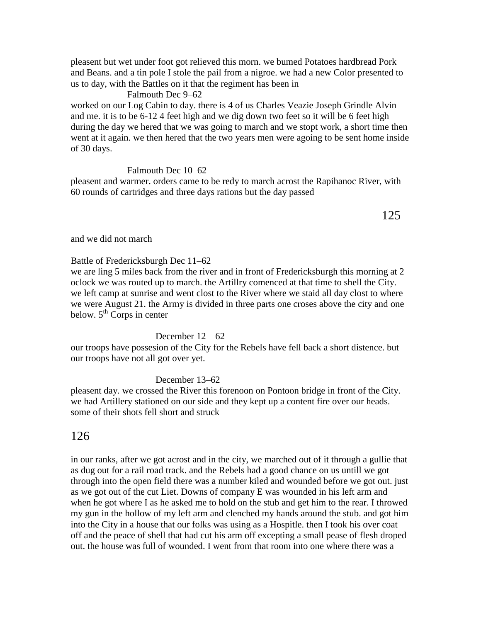pleasent but wet under foot got relieved this morn. we bumed Potatoes hardbread Pork and Beans. and a tin pole I stole the pail from a nigroe. we had a new Color presented to us to day, with the Battles on it that the regiment has been in

### Falmouth Dec 9–62

worked on our Log Cabin to day. there is 4 of us Charles Veazie Joseph Grindle Alvin and me. it is to be 6-12 4 feet high and we dig down two feet so it will be 6 feet high during the day we hered that we was going to march and we stopt work, a short time then went at it again. we then hered that the two years men were agoing to be sent home inside of 30 days.

### Falmouth Dec 10–62

pleasent and warmer. orders came to be redy to march acrost the Rapihanoc River, with 60 rounds of cartridges and three days rations but the day passed

125

and we did not march

Battle of Fredericksburgh Dec 11–62

we are ling 5 miles back from the river and in front of Fredericksburgh this morning at 2 oclock we was routed up to march. the Artillry comenced at that time to shell the City. we left camp at sunrise and went clost to the River where we staid all day clost to where we were August 21. the Army is divided in three parts one croses above the city and one below.  $5<sup>th</sup>$  Corps in center

### December  $12 - 62$

our troops have possesion of the City for the Rebels have fell back a short distence. but our troops have not all got over yet.

December 13–62

pleasent day. we crossed the River this forenoon on Pontoon bridge in front of the City. we had Artillery stationed on our side and they kept up a content fire over our heads. some of their shots fell short and struck

# 126

in our ranks, after we got acrost and in the city, we marched out of it through a gullie that as dug out for a rail road track. and the Rebels had a good chance on us untill we got through into the open field there was a number kiled and wounded before we got out. just as we got out of the cut Liet. Downs of company E was wounded in his left arm and when he got where I as he asked me to hold on the stub and get him to the rear. I throwed my gun in the hollow of my left arm and clenched my hands around the stub. and got him into the City in a house that our folks was using as a Hospitle. then I took his over coat off and the peace of shell that had cut his arm off excepting a small pease of flesh droped out. the house was full of wounded. I went from that room into one where there was a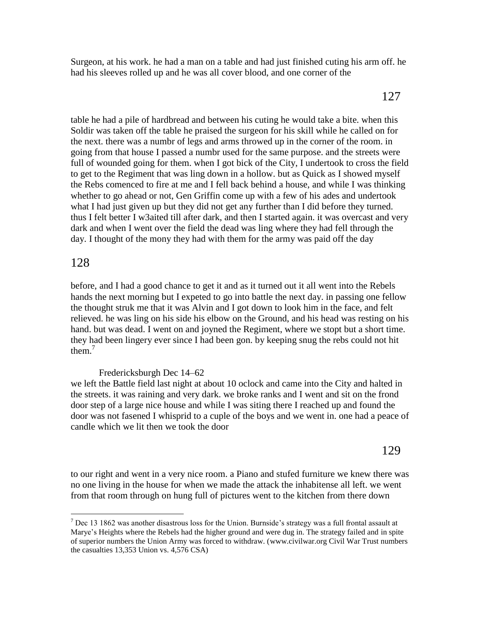Surgeon, at his work. he had a man on a table and had just finished cuting his arm off. he had his sleeves rolled up and he was all cover blood, and one corner of the

# 127

table he had a pile of hardbread and between his cuting he would take a bite. when this Soldir was taken off the table he praised the surgeon for his skill while he called on for the next. there was a numbr of legs and arms throwed up in the corner of the room. in going from that house I passed a numbr used for the same purpose. and the streets were full of wounded going for them. when I got bick of the City, I undertook to cross the field to get to the Regiment that was ling down in a hollow. but as Quick as I showed myself the Rebs comenced to fire at me and I fell back behind a house, and while I was thinking whether to go ahead or not, Gen Griffin come up with a few of his ades and undertook what I had just given up but they did not get any further than I did before they turned. thus I felt better I w3aited till after dark, and then I started again. it was overcast and very dark and when I went over the field the dead was ling where they had fell through the day. I thought of the mony they had with them for the army was paid off the day

# 128

 $\overline{a}$ 

before, and I had a good chance to get it and as it turned out it all went into the Rebels hands the next morning but I expeted to go into battle the next day. in passing one fellow the thought struk me that it was Alvin and I got down to look him in the face, and felt relieved. he was ling on his side his elbow on the Ground, and his head was resting on his hand. but was dead. I went on and joyned the Regiment, where we stopt but a short time. they had been lingery ever since I had been gon. by keeping snug the rebs could not hit them.<sup>7</sup>

## Fredericksburgh Dec 14–62

we left the Battle field last night at about 10 oclock and came into the City and halted in the streets. it was raining and very dark. we broke ranks and I went and sit on the frond door step of a large nice house and while I was siting there I reached up and found the door was not fasened I whisprid to a cuple of the boys and we went in. one had a peace of candle which we lit then we took the door

# 129

to our right and went in a very nice room. a Piano and stufed furniture we knew there was no one living in the house for when we made the attack the inhabitense all left. we went from that room through on hung full of pictures went to the kitchen from there down

 $<sup>7</sup>$  Dec 13 1862 was another disastrous loss for the Union. Burnside's strategy was a full frontal assault at</sup> Marye's Heights where the Rebels had the higher ground and were dug in. The strategy failed and in spite of superior numbers the Union Army was forced to withdraw. (www.civilwar.org Civil War Trust numbers the casualties 13,353 Union vs. 4,576 CSA)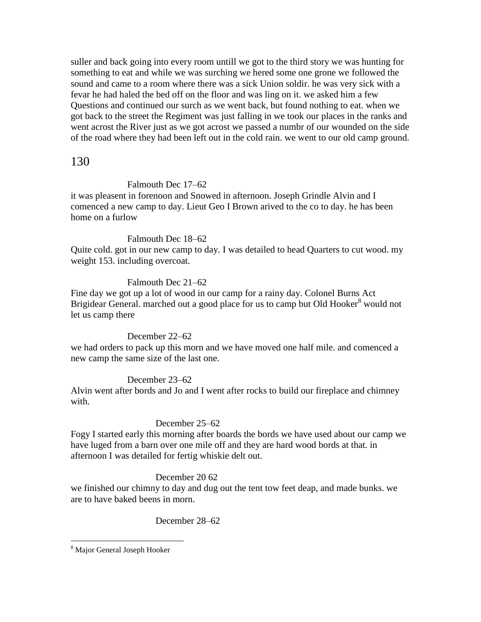suller and back going into every room untill we got to the third story we was hunting for something to eat and while we was surching we hered some one grone we followed the sound and came to a room where there was a sick Union soldir. he was very sick with a fevar he had haled the bed off on the floor and was ling on it. we asked him a few Questions and continued our surch as we went back, but found nothing to eat. when we got back to the street the Regiment was just falling in we took our places in the ranks and went acrost the River just as we got acrost we passed a numbr of our wounded on the side of the road where they had been left out in the cold rain. we went to our old camp ground.

# 130

### Falmouth Dec 17–62

it was pleasent in forenoon and Snowed in afternoon. Joseph Grindle Alvin and I comenced a new camp to day. Lieut Geo I Brown arived to the co to day. he has been home on a furlow

### Falmouth Dec 18–62

Quite cold. got in our new camp to day. I was detailed to head Quarters to cut wood. my weight 153. including overcoat.

## Falmouth Dec 21–62

Fine day we got up a lot of wood in our camp for a rainy day. Colonel Burns Act Brigidear General. marched out a good place for us to camp but Old Hooker<sup>8</sup> would not let us camp there

## December 22–62

we had orders to pack up this morn and we have moved one half mile. and comenced a new camp the same size of the last one.

## December 23–62

Alvin went after bords and Jo and I went after rocks to build our fireplace and chimney with.

## December 25–62

Fogy I started early this morning after boards the bords we have used about our camp we have luged from a barn over one mile off and they are hard wood bords at that. in afternoon I was detailed for fertig whiskie delt out.

## December 20 62

we finished our chimny to day and dug out the tent tow feet deap, and made bunks. we are to have baked beens in morn.

## December 28–62

 $\overline{a}$ 

<sup>8</sup> Major General Joseph Hooker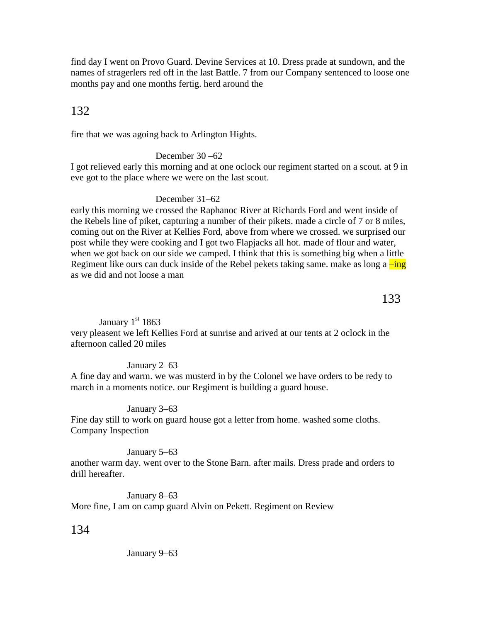find day I went on Provo Guard. Devine Services at 10. Dress prade at sundown, and the names of stragerlers red off in the last Battle. 7 from our Company sentenced to loose one months pay and one months fertig. herd around the

# 132

fire that we was agoing back to Arlington Hights.

### December 30 –62

I got relieved early this morning and at one oclock our regiment started on a scout. at 9 in eve got to the place where we were on the last scout.

## December 31–62

early this morning we crossed the Raphanoc River at Richards Ford and went inside of the Rebels line of piket, capturing a number of their pikets. made a circle of 7 or 8 miles, coming out on the River at Kellies Ford, above from where we crossed. we surprised our post while they were cooking and I got two Flapjacks all hot. made of flour and water, when we got back on our side we camped. I think that this is something big when a little Regiment like ours can duck inside of the Rebel pekets taking same. make as long a  $\frac{-\text{ing}}{\text{ing}}$ as we did and not loose a man

133

### January  $1<sup>st</sup> 1863$

very pleasent we left Kellies Ford at sunrise and arived at our tents at 2 oclock in the afternoon called 20 miles

### January 2–63

A fine day and warm. we was musterd in by the Colonel we have orders to be redy to march in a moments notice. our Regiment is building a guard house.

### January 3–63

Fine day still to work on guard house got a letter from home. washed some cloths. Company Inspection

### January 5–63

another warm day. went over to the Stone Barn. after mails. Dress prade and orders to drill hereafter.

January 8–63 More fine, I am on camp guard Alvin on Pekett. Regiment on Review

## 134

January 9–63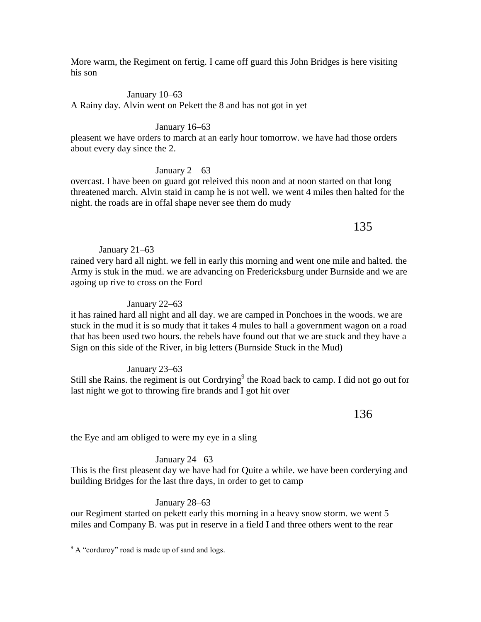More warm, the Regiment on fertig. I came off guard this John Bridges is here visiting his son

### January 10–63

A Rainy day. Alvin went on Pekett the 8 and has not got in yet

### January 16–63

pleasent we have orders to march at an early hour tomorrow. we have had those orders about every day since the 2.

### January 2—63

overcast. I have been on guard got releived this noon and at noon started on that long threatened march. Alvin staid in camp he is not well. we went 4 miles then halted for the night. the roads are in offal shape never see them do mudy

# 135

### January 21–63

rained very hard all night. we fell in early this morning and went one mile and halted. the Army is stuk in the mud. we are advancing on Fredericksburg under Burnside and we are agoing up rive to cross on the Ford

### January 22–63

it has rained hard all night and all day. we are camped in Ponchoes in the woods. we are stuck in the mud it is so mudy that it takes 4 mules to hall a government wagon on a road that has been used two hours. the rebels have found out that we are stuck and they have a Sign on this side of the River, in big letters (Burnside Stuck in the Mud)

### January 23–63

Still she Rains. the regiment is out Cordrying<sup>9</sup> the Road back to camp. I did not go out for last night we got to throwing fire brands and I got hit over

136

the Eye and am obliged to were my eye in a sling

### January 24 –63

This is the first pleasent day we have had for Quite a while. we have been corderying and building Bridges for the last thre days, in order to get to camp

### January 28–63

our Regiment started on pekett early this morning in a heavy snow storm. we went 5 miles and Company B. was put in reserve in a field I and three others went to the rear

 $\overline{a}$ 

 $9^9$  A "corduroy" road is made up of sand and logs.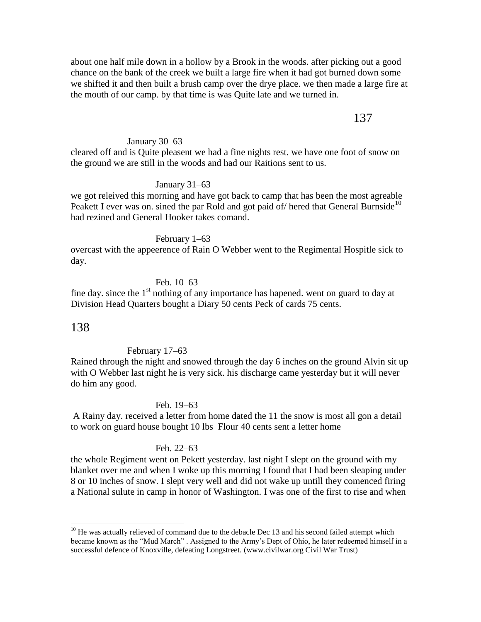about one half mile down in a hollow by a Brook in the woods. after picking out a good chance on the bank of the creek we built a large fire when it had got burned down some we shifted it and then built a brush camp over the drye place. we then made a large fire at the mouth of our camp. by that time is was Quite late and we turned in.

# 137

#### January 30–63

cleared off and is Quite pleasent we had a fine nights rest. we have one foot of snow on the ground we are still in the woods and had our Raitions sent to us.

#### January 31–63

we got releived this morning and have got back to camp that has been the most agreable Peakett I ever was on. sined the par Rold and got paid of hered that General Burnside<sup>10</sup> had rezined and General Hooker takes comand.

#### February 1–63

overcast with the appeerence of Rain O Webber went to the Regimental Hospitle sick to day.

Feb. 10–63

fine day. since the  $1<sup>st</sup>$  nothing of any importance has hapened. went on guard to day at Division Head Quarters bought a Diary 50 cents Peck of cards 75 cents.

### 138

 $\overline{a}$ 

#### February 17–63

Rained through the night and snowed through the day 6 inches on the ground Alvin sit up with O Webber last night he is very sick. his discharge came yesterday but it will never do him any good.

#### Feb. 19–63

A Rainy day. received a letter from home dated the 11 the snow is most all gon a detail to work on guard house bought 10 lbs Flour 40 cents sent a letter home

#### Feb. 22–63

the whole Regiment went on Pekett yesterday. last night I slept on the ground with my blanket over me and when I woke up this morning I found that I had been sleaping under 8 or 10 inches of snow. I slept very well and did not wake up untill they comenced firing a National sulute in camp in honor of Washington. I was one of the first to rise and when

 $10$  He was actually relieved of command due to the debacle Dec 13 and his second failed attempt which became known as the "Mud March" . Assigned to the Army's Dept of Ohio, he later redeemed himself in a successful defence of Knoxville, defeating Longstreet. (www.civilwar.org Civil War Trust)